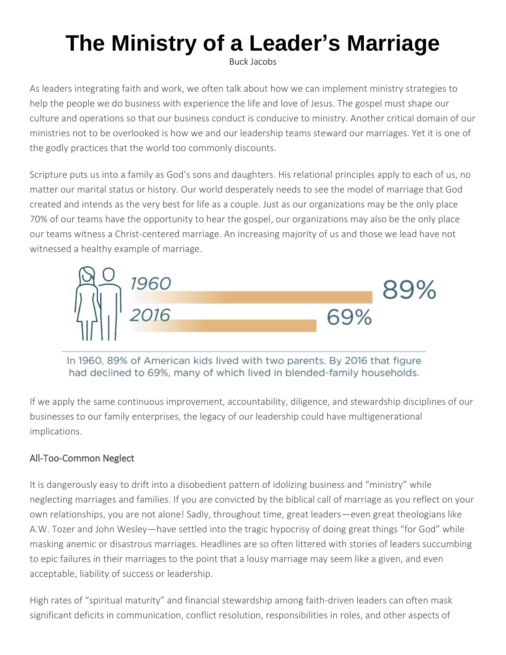# **The Ministry of a Leader's Marriage**

Buck Jacobs

As leaders integrating faith and work, we often talk about how we can implement ministry strategies to help the people we do business with experience the life and love of Jesus. The gospel must shape our culture and operations so that our business conduct is conducive to ministry. Another critical domain of our ministries not to be overlooked is how we and our leadership teams steward our marriages. Yet it is one of the godly practices that the world too commonly discounts.

Scripture puts us into a family as God's sons and daughters. His relational principles apply to each of us, no matter our marital status or history. Our world desperately needs to see the model of marriage that God created and intends as the very best for life as a couple. Just as our organizations may be the only place 70% of our teams have the opportunity to hear the gospel, our organizations may also be the only place our teams witness a Christ-centered marriage. An increasing majority of us and those we lead have not witnessed a healthy example of marriage.



In 1960, 89% of American kids lived with two parents. By 2016 that figure had declined to 69%, many of which lived in blended-family households.

If we apply the same continuous improvement, accountability, diligence, and stewardship disciplines of our businesses to our family enterprises, the legacy of our leadership could have multigenerational implications.

# All-Too-Common Neglect

It is dangerously easy to drift into a disobedient pattern of idolizing business and "ministry" while neglecting marriages and families. If you are convicted by the biblical call of marriage as you reflect on your own relationships, you are not alone! Sadly, throughout time, great leaders—even great theologians like A.W. Tozer and John Wesley—have settled into the tragic hypocrisy of doing great things "for God" while masking anemic or disastrous marriages. Headlines are so often littered with stories of leaders succumbing to epic failures in their marriages to the point that a lousy marriage may seem like a given, and even acceptable, liability of success or leadership.

High rates of "spiritual maturity" and financial stewardship among faith-driven leaders can often mask significant deficits in communication, conflict resolution, responsibilities in roles, and other aspects of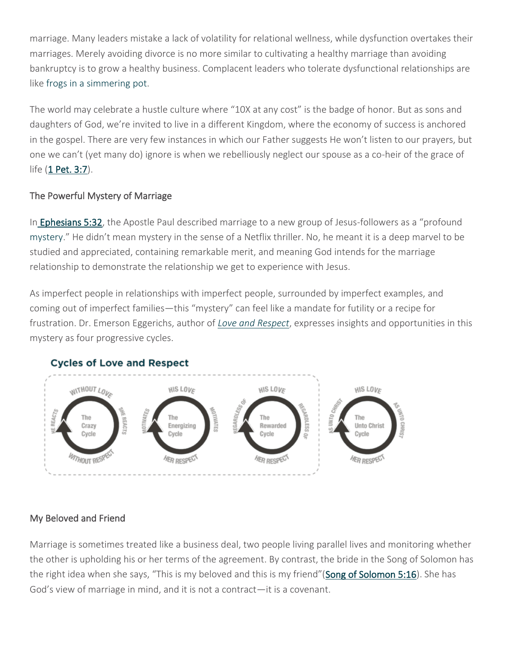marriage. Many leaders mistake a lack of volatility for relational wellness, while dysfunction overtakes their marriages. Merely avoiding divorce is no more similar to cultivating a healthy marriage than avoiding bankruptcy is to grow a healthy business. Complacent leaders who tolerate dysfunctional relationships are like [frogs in a simmering pot.](https://www.linkedin.com/pulse/boiling-frog-syndrome-suyash-jaju/)

The world may celebrate a hustle culture where "10X at any cost" is the badge of honor. But as sons and daughters of God, we're invited to live in a different Kingdom, where the economy of success is anchored in the gospel. There are very few instances in which our Father suggests He won't listen to our prayers, but one we can't (yet many do) ignore is when we rebelliously neglect our spouse as a co-heir of the grace of life [\(1 Pet. 3:7\)](https://www.biblegateway.com/passage/?search=1+Pet.+3%3A7&version=ESV).

### The Powerful Mystery of Marriage

In **Ephesians 5:32**, the Apostle Paul described marriage to a new group of Jesus-followers as a "profound [mystery](https://www.desiringgod.org/articles/the-mystery-of-marriage)." He didn't mean mystery in the sense of a Netflix thriller. No, he meant it is a deep marvel to be studied and appreciated, containing remarkable merit, and meaning God intends for the marriage relationship to demonstrate the relationship we get to experience with Jesus.

As imperfect people in relationships with imperfect people, surrounded by imperfect examples, and coming out of imperfect families—this "mystery" can feel like a mandate for futility or a recipe for frustration. Dr. Emerson Eggerichs, author of *[Love and Respect](https://www.amazon.com/Love-Respect-Desires-Desperately-Needs/dp/1591451876/ref=asc_df_1591451876/?tag=hyprod-20&linkCode=df0&hvadid=312111868709&hvpos=&hvnetw=g&hvrand=10762991395674380852&hvpone=&hvptwo=&hvqmt=&hvdev=c&hvdvcmdl=&hvlocint=&hvlocphy=9028050&hvtargid=pla-406163954073&psc=1)*, expresses insights and opportunities in this mystery as four progressive cycles.



## **Cycles of Love and Respect**

### My Beloved and Friend

Marriage is sometimes treated like a business deal, two people living parallel lives and monitoring whether the other is upholding his or her terms of the agreement. By contrast, the bride in the Song of Solomon has the right idea when she says, "This is my beloved and this is my friend"([Song of Solomon 5:16\)](https://www.biblegateway.com/passage/?search=song+of+solomon+5%3A16&version=ESV). She has God's view of marriage in mind, and it is not a contract—it is a covenant.